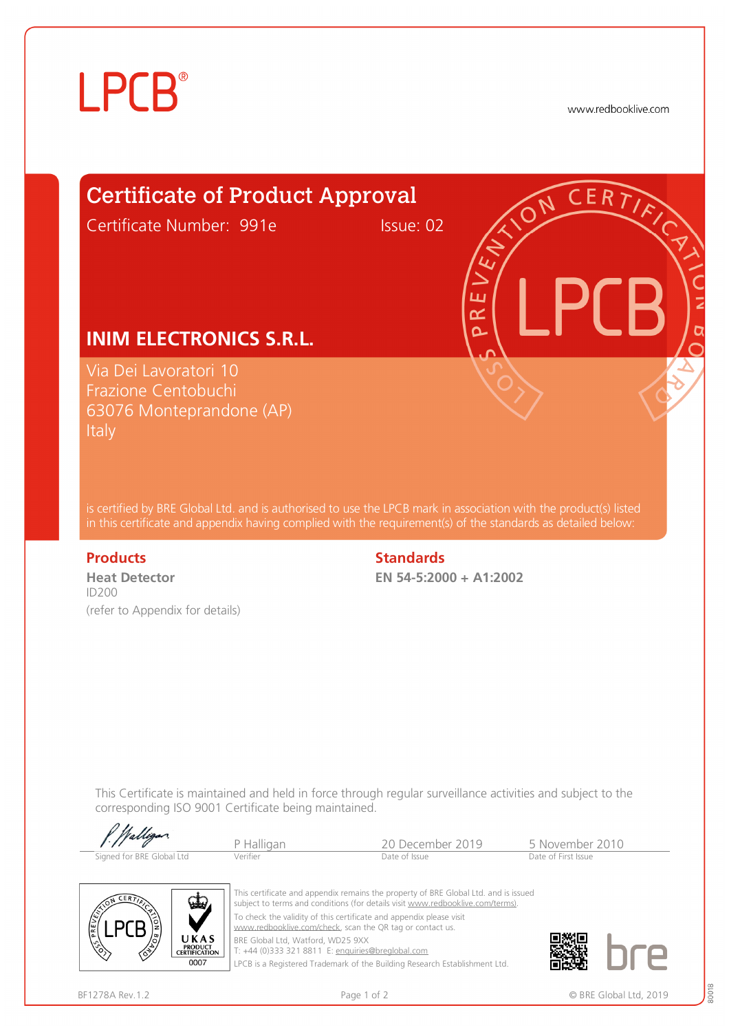# **LPCB**®

www.redbooklive.com

# Certificate of Product Approval

Certificate Number: 991e Issue: 02

ய œ Ò

## **INIM ELECTRONICS S.R.L.**

Via Dei Lavoratori 10 Frazione Centobuchi 63076 Monteprandone (AP) **Italy** 

is certified by BRE Global Ltd. and is authorised to use the LPCB mark in association with the product(s) listed in this certificate and appendix having complied with the requirement(s) of the standards as detailed below:

**Heat Detector**  ID200 (refer to Appendix for details)

### **Products** Standards **Standards**

**EN 54-5:2000 + A1:2002**

This Certificate is maintained and held in force through regular surveillance activities and subject to the corresponding ISO 9001 Certificate being maintained.

| f. Walligan               |            |                  |                     |  |
|---------------------------|------------|------------------|---------------------|--|
|                           | P Halligan | 20 December 2019 | 5 November 2010     |  |
| Signed for BRE Global Ltd | Verifier   | Date of Issue    | Date of First Issue |  |



This certificate and appendix remains the property of BRE Global Ltd. and is issued subject to terms and conditions (for details visit [www.redbooklive.com/terms\)](http://www.redbooklive.com/terms)). To check the validity of this certificate and appendix please visit [www.redbooklive.com/check,](http://www.redbooklive.com/check) scan the QR tag or contact us. BRE Global Ltd, Watford, WD25 9XX

T: +44 (0)333 321 8811 E: [enquiries@breglobal.com](mailto:enquiries@breglobal.com)

LPCB is a Registered Trademark of the Building Research Establishment Ltd.